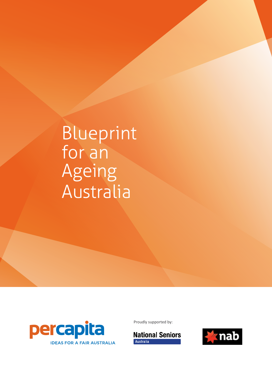# Blueprint for an Ageing Australia



Proudly supported by:



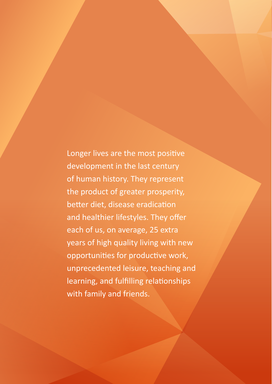Longer lives are the most positive development in the last century of human history. They represent the product of greater prosperity, better diet, disease eradication and healthier lifestyles. They offer each of us, on average, 25 extra years of high quality living with new opportunities for productive work, unprecedented leisure, teaching and learning, and fulfilling relationships with family and friends.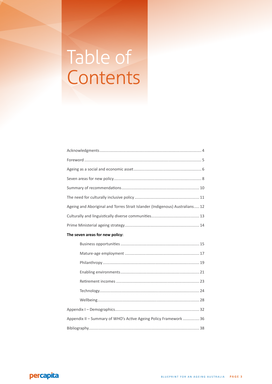# Table of Contents

| Ageing and Aboriginal and Torres Strait Islander (Indigenous) Australians 12 |
|------------------------------------------------------------------------------|
|                                                                              |
|                                                                              |
| The seven areas for new policy:                                              |
|                                                                              |
|                                                                              |
|                                                                              |
|                                                                              |
|                                                                              |
|                                                                              |
|                                                                              |
|                                                                              |
| Appendix II - Summary of WHO's Active Ageing Policy Framework  36            |
|                                                                              |

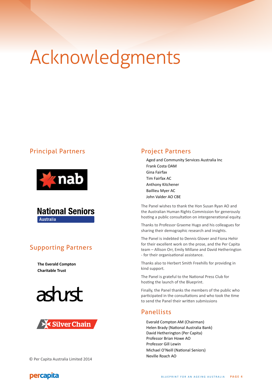# Acknowledgments

# Principal Partners





# Supporting Partners

**The Everald Compton Charitable Trust**





#### © Per Capita Australia Limited 2014

# Project Partners

Aged and Community Services Australia Inc Frank Costa OAM Gina Fairfax Tim Fairfax AC Anthony Kitchener Baillieu Myer AC John Valder AO CBE

The Panel wishes to thank the Hon Susan Ryan AO and the Australian Human Rights Commission for generously hosting a public consultation on intergenerational equity.

Thanks to Professor Graeme Hugo and his colleagues for sharing their demographic research and insights.

The Panel is indebted to Dennis Glover and Fiona Hehir for their excellent work on the prose, and the Per Capita team – Allison Orr, Emily Millane and David Hetherington - for their organisational assistance.

Thanks also to Herbert Smith Freehills for providing in kind support.

The Panel is grateful to the National Press Club for hosting the launch of the Blueprint.

Finally, the Panel thanks the members of the public who participated in the consultations and who took the time to send the Panel their written submissions

## Panellists

Everald Compton AM (Chairman) Helen Brady (National Australia Bank) David Hetherington (Per Capita) Professor Brian Howe AO Professor Gill Lewin Michael O'Neill (National Seniors) Neville Roach AO

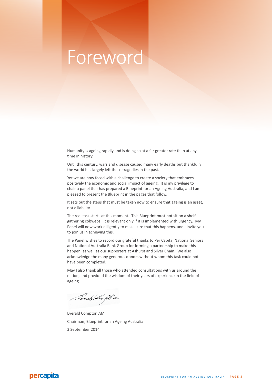# Foreword

Humanity is ageing rapidly and is doing so at a far greater rate than at any time in history.

Until this century, wars and disease caused many early deaths but thankfully the world has largely left these tragedies in the past.

Yet we are now faced with a challenge to create a society that embraces positively the economic and social impact of ageing. It is my privilege to chair a panel that has prepared a Blueprint for an Ageing Australia, and I am pleased to present the Blueprint in the pages that follow.

It sets out the steps that must be taken now to ensure that ageing is an asset, not a liability.

The real task starts at this moment. This Blueprint must not sit on a shelf gathering cobwebs. It is relevant only if it is implemented with urgency. My Panel will now work diligently to make sure that this happens, and I invite you to join us in achieving this.

The Panel wishes to record our grateful thanks to Per Capita, National Seniors and National Australia Bank Group for forming a partnership to make this happen, as well as our supporters at Ashurst and Silver Chain. We also acknowledge the many generous donors without whom this task could not have been completed.

May I also thank all those who attended consultations with us around the nation, and provided the wisdom of their years of experience in the field of ageing.

Final Ampte

Everald Compton AM Chairman, Blueprint for an Ageing Australia 3 September 2014

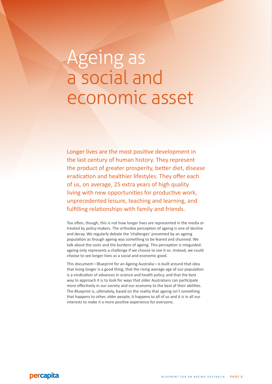# Ageing as a social and economic asset

Longer lives are the most positive development in the last century of human history. They represent the product of greater prosperity, better diet, disease eradication and healthier lifestyles. They offer each of us, on average, 25 extra years of high quality living with new opportunities for productive work, unprecedented leisure, teaching and learning, and fulfilling relationships with family and friends.

Too often, though, this is not how longer lives are represented in the media or treated by policy-makers. The orthodox perception of ageing is one of decline and decay. We regularly debate the 'challenges' presented by an ageing population as though ageing was something to be feared and shunned. We talk about the costs and the burdens of ageing. This perception is misguided: ageing only represents a challenge if we choose to see it so. Instead, we could choose to see longer lives as a social and economic good.

This document—Blueprint for an Ageing Australia—is built around that idea that living longer is a good thing, that the rising average age of our population is a vindication of advances in science and health policy, and that the best way to approach it is to look for ways that older Australians can participate more effectively in our society and our economy to the best of their abilities. The Blueprint is, ultimately, based on the reality that ageing isn't something that happens to other, older people, it happens to all of us and it is in all our interests to make it a more positive experience for everyone.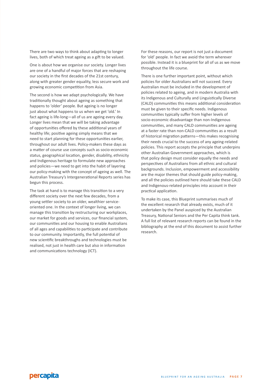There are two ways to think about adapting to longer lives, both of which treat ageing as a gift to be valued.

One is about how we organise our society. Longer lives are one of a handful of major forces that are reshaping our society in the first decades of the 21st century, along with greater gender equality, less secure work and growing economic competition from Asia.

The second is how we adapt psychologically. We have traditionally thought about ageing as something that happens to 'older' people. But ageing is no longer just about what happens to us when we get 'old.' In fact ageing is life-long—all of us are ageing every day. Longer lives mean that we will be taking advantage of opportunities offered by these additional years of healthy life; positive ageing simply means that we need to start planning for these opportunities earlier, throughout our adult lives. Policy-makers these days as a matter of course use concepts such as socio-economic status, geographical location, gender, disability, ethnicity and Indigenous heritage to formulate new approaches and policies—we need to get into the habit of layering our policy-making with the concept of ageing as well. The Australian Treasury's Intergenerational Reports series has begun this process.

The task at hand is to manage this transition to a very different society over the next few decades, from a young settler society to an older, wealthier serviceoriented one. In the context of longer living, we can manage this transition by restructuring our workplaces, our market for goods and services, our financial system, our communities and our housing to enable Australians of all ages and capabilities to participate and contribute to our community. Importantly, the full potential of new scientific breakthroughs and technologies must be realised, not just in health care but also in information and communications technology (ICT).

For these reasons, our report is not just a document for 'old' people. In fact we avoid the term wherever possible. Instead it is a blueprint for all of us as we move throughout the life course.

There is one further important point, without which policies for older Australians will not succeed. Every Australian must be included in the development of policies related to ageing, and in modern Australia with its Indigenous and Culturally and Linguistically Diverse (CALD) communities this means additional consideration must be given to their specific needs. Indigenous communities typically suffer from higher levels of socio-economic disadvantage than non-Indigenous communities, and many CALD communities are ageing at a faster rate than non-CALD communities as a result of historical migration patterns—this makes recognising their needs crucial to the success of any ageing-related policies. This report accepts the principle that underpins other Australian Government approaches, which is that policy design must consider equally the needs and perspectives of Australians from all ethnic and cultural backgrounds. Inclusion, empowerment and accessibility are the major themes that should guide policy-making, and all the policies outlined here should take these CALD and Indigenous-related principles into account in their practical application.

To make its case, this Blueprint summarises much of the excellent research that already exists, much of it undertaken by the Panel auspiced by the Australian Treasury, National Seniors and the Per Capita think tank. A full list of relevant research reports can be found in the bibliography at the end of this document to assist further research.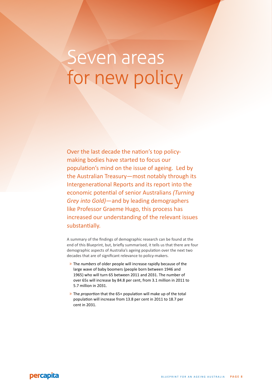# Seven areas for new policy

Over the last decade the nation's top policymaking bodies have started to focus our population's mind on the issue of ageing. Led by the Australian Treasury—most notably through its Intergenerational Reports and its report into the economic potential of senior Australians *(Turning Grey into Gold)*—and by leading demographers like Professor Graeme Hugo, this process has increased our understanding of the relevant issues substantially.

A summary of the findings of demographic research can be found at the end of this Blueprint, but, briefly summarised, it tells us that there are four demographic aspects of Australia's ageing population over the next two decades that are of significant relevance to policy-makers.

- » The *numbers* of older people will increase rapidly because of the large wave of baby boomers (people born between 1946 and 1965) who will turn 65 between 2011 and 2031. The number of over 65s will increase by 84.8 per cent, from 3.1 million in 2011 to 5.7 million in 2031.
- » The *proportion* that the 65+ population will make up of the total population will increase from 13.8 per cent in 2011 to 18.7 per cent in 2031.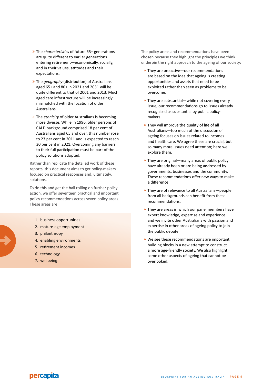- » The *characteristics* of future 65+ generations are quite different to earlier generations entering retirement—economically, socially, and in their values, attitudes and their expectations.
- » The *geography* (distribution) of Australians aged 65+ and 80+ in 2021 and 2031 will be quite different to that of 2001 and 2013. Much aged care infrastructure will be increasingly mismatched with the location of older Australians.
- » The *ethnicity* of older Australians is becoming more diverse. While in 1996, older persons of CALD background comprised 18 per cent of Australians aged 65 and over, this number rose to 23 per cent in 2011 and is expected to reach 30 per cent in 2021. Overcoming any barriers to their full participation must be part of the policy solutions adopted.

Rather than replicate the detailed work of these reports, this document aims to get policy-makers focused on practical responses and, ultimately, solutions.

To do this and get the ball rolling on further policy action, we offer seventeen practical and important policy recommendations across seven policy areas. These areas are:

- 1. business opportunities
- 2. mature-age employment
- 3. philanthropy
- 4. enabling environments
- 5. retirement incomes
- 6. technology
- 7. wellbeing

The policy areas and recommendations have been chosen because they highlight the principles we think underpin the right approach to the ageing of our society:

- » They are proactive—our recommendations are based on the idea that ageing is creating opportunities and assets that need to be exploited rather than seen as problems to be overcome.
- » They are substantial—while not covering every issue, our recommendations go to issues already recognised as substantial by public policymakers.
- » They will improve the quality of life of all Australians—too much of the discussion of ageing focuses on issues related to incomes and health care. We agree these are crucial, but so many more issues need attention; here we explore them.
- » They are original—many areas of public policy have already been or are being addressed by governments, businesses and the community. These recommendations offer new ways to make a difference.
- » They are of relevance to all Australians—people from all backgrounds can benefit from these recommendations.
- » They are areas in which our panel members have expert knowledge, expertise and experience and we invite other Australians with passion and expertise in other areas of ageing policy to join the public debate.
- » We see these recommendations are important building blocks in a new attempt to construct a more age-friendly society. We also highlight some other aspects of ageing that cannot be overlooked.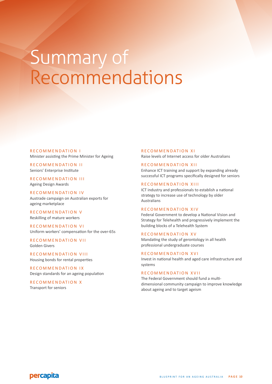# Summary of Recommendations

R E COMMENDATION I Minister assisting the Prime Minister for Ageing

RECOMMENDATION II Seniors' Enterprise Institute

RECOMMENDATION III Ageing Design Awards

R E COMMENDATION IV Austrade campaign on Australian exports for ageing marketplace

RECOMMENDATION V Reskilling of mature workers

RECOMMENDATION VI Uniform workers' compensation for the over-65s

RECOMMENDATION VII Golden Givers

RECOMMENDATION VIII Housing bonds for rental properties

RECOMMENDATION IX Design standards for an ageing population

RECOMMENDATION X Transport for seniors

#### R E COMMENDATION XI

Raise levels of Internet access for older Australians

#### R E COMMENDATION XII

Enhance ICT training and support by expanding already successful ICT programs specifically designed for seniors

#### RECOMMENDATION XIII

ICT industry and professionals to establish a national strategy to increase use of technology by older Australians

#### R E C O M M E N D AT I O N X I V

Federal Government to develop a National Vision and Strategy for Telehealth and progressively implement the building blocks of a Telehealth System

#### RECOMMENDATION XV

Mandating the study of gerontology in all health professional undergraduate courses

#### RECOMMENDATION XVI

Invest in national health and aged care infrastructure and systems

#### R E COMMENDATION XVII

The Federal Government should fund a multidimensional community campaign to improve knowledge about ageing and to target ageism

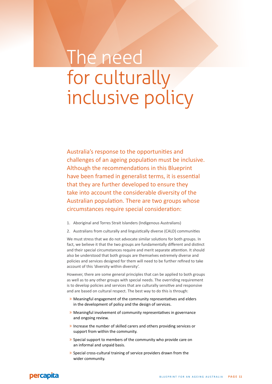# The need for culturally inclusive policy

Australia's response to the opportunities and challenges of an ageing population must be inclusive. Although the recommendations in this Blueprint have been framed in generalist terms, it is essential that they are further developed to ensure they take into account the considerable diversity of the Australian population. There are two groups whose circumstances require special consideration:

- 1. Aboriginal and Torres Strait Islanders (Indigenous Australians)
- 2. Australians from culturally and linguistically diverse (CALD) communities

We must stress that we do not advocate similar solutions for both groups. In fact, we believe it that the two groups are fundamentally different and distinct and their special circumstances require and merit separate attention. It should also be understood that both groups are themselves extremely diverse and policies and services designed for them will need to be further refined to take account of this 'diversity within diversity'.

However, there are some general principles that can be applied to both groups as well as to any other groups with special needs. The overriding requirement is to develop policies and services that are culturally sensitive and responsive and are based on cultural respect. The best way to do this is through:

- » Meaningful engagement of the community representatives and elders in the development of policy and the design of services.
- » Meaningful involvement of community representatives in governance and ongoing review.
- » Increase the number of skilled carers and others providing services or support from within the community.
- » Special support to members of the community who provide care on an informal and unpaid basis.
- » Special cross-cultural training of service providers drawn from the wider community.

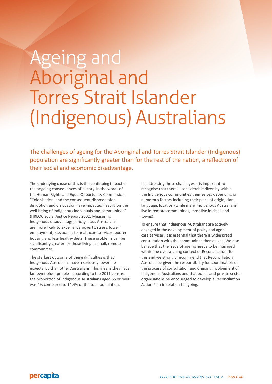# Ageing and Aboriginal and Torres Strait Islander (Indigenous) Australians

The challenges of ageing for the Aboriginal and Torres Strait Islander (Indigenous) population are significantly greater than for the rest of the nation, a reflection of their social and economic disadvantage.

The underlying cause of this is the continuing impact of the ongoing consequences of history. In the words of the Human Rights and Equal Opportunity Commission, "Colonisation, and the consequent dispossession, disruption and dislocation have impacted heavily on the well-being of Indigenous individuals and communities" (HREOC Social Justice Report 2002: Measuring Indigenous disadvantage). Indigenous Australians are more likely to experience poverty, stress, lower employment, less access to healthcare services, poorer housing and less healthy diets. These problems can be significantly greater for those living in small, remote communities.

The starkest outcome of these difficulties is that Indigenous Australians have a seriously lower life expectancy than other Australians. This means they have far fewer older people - according to the 2011 census, the proportion of Indigenous Australians aged 65 or over was 4% compared to 14.4% of the total population.

In addressing these challenges it is important to recognise that there is considerable diversity within the Indigenous communities themselves depending on numerous factors including their place of origin, clan, language, location (while many Indigenous Australians live in remote communities, most live in cities and towns).

To ensure that Indigenous Australians are actively engaged in the development of policy and aged care services, it is essential that there is widespread consultation with the communities themselves. We also believe that the issue of ageing needs to be managed within the over-arching context of Reconciliation. To this end we strongly recommend that Reconciliation Australia be given the responsibility for coordination of the process of consultation and ongoing involvement of Indigenous Australians and that public and private sector organisations be encouraged to develop a Reconciliation Action Plan in relation to ageing.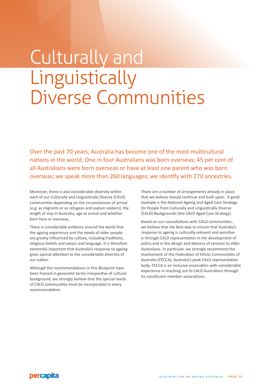# Culturally and Linguistically Diverse Communities

Over the past 70 years, Australia has become one of the most multicultural nations in the world. One in four Australians was born overseas; 45 per cent of all Australians were born overseas or have at least one parent who was born overseas; we speak more than 260 languages; we identify with 270 ancestries.

Moreover, there is also considerable diversity within each of our Culturally and Linguistically Diverse (CALD) communities depending on the circumstances of arrival (e.g. as migrants or as refugees and asylum seekers), the length of stay in Australia, age at arrival and whether born here or overseas.

There is considerable evidence around the world that the ageing experience and the needs of older people are greatly influenced by culture, including traditions, religious beliefs and values and language. It is therefore extremely important that Australia's response to ageing gives special attention to the considerable diversity of our nation.

Although the recommendations in this Blueprint have been framed in generalist terms irrespective of cultural background, we strongly believe that the special needs of CALD communities must be incorporated in every recommendation.

There are a number of arrangements already in place that we believe should continue and built upon. A good example is the National Ageing and Aged Care Strategy for People from Culturally and Linguistically Diverse (CALD) Backgrounds (the CALD Aged Care Strategy).

Based on our consultations with CALD communities, we believe that the best way to ensure that Australia's response to ageing is culturally relevant and sensitive is through CALD representation in the development of policy and in the design and delivery of services to older Australians. In particular, we strongly recommend the involvement of the Federation of Ethnic Communities of Australia (FECCA), Australia's peak CALD representative body. FECCA is an inclusive association with considerable experience in reaching out to CALD Australians through its constituent member associations.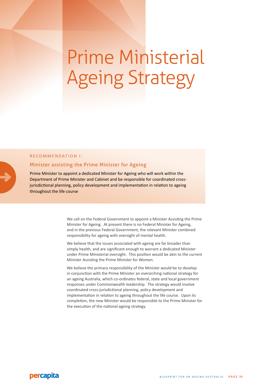# Prime Ministerial Ageing Strategy

#### RECOMMENDATION 1:

#### Minister assisting the Prime Minister for Ageing

Prime Minister to appoint a dedicated Minister for Ageing who will work within the Department of Prime Minister and Cabinet and be responsible for coordinated crossjurisdictional planning, policy development and implementation in relation to ageing throughout the life course

> We call on the Federal Government to appoint a Minister Assisting the Prime Minister for Ageing. At present there is no Federal Minister for Ageing, and in the previous Federal Government, the relevant Minister combined responsibility for ageing with oversight of mental health.

> We believe that the issues associated with ageing are far broader than simply health, and are significant enough to warrant a dedicated Minister under Prime Ministerial oversight. This position would be akin to the current Minister Assisting the Prime Minister for Women.

> We believe the primary responsibility of the Minister would be to develop in conjunction with the Prime Minister an overarching national strategy for an ageing Australia, which co-ordinates federal, state and local government responses under Commonwealth leadership. The strategy would involve coordinated cross-jurisdictional planning, policy development and implementation in relation to ageing throughout the life course. Upon its completion, the new Minister would be responsible to the Prime Minister for the execution of the national ageing strategy.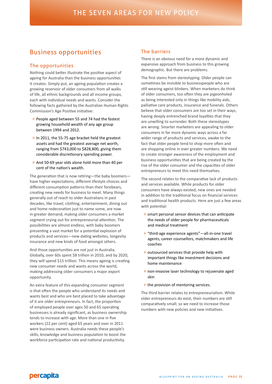# Business opportunities

#### The opportunities

Nothing could better illustrate the positive aspect of ageing for Australia than the business opportunities it creates. Simply put, an ageing population creates a growing reservoir of older consumers from all walks of life, all ethnic backgrounds and all income groups, each with individual needs and wants. Consider the following facts gathered by the Australian Human Rights Commission's Age Positive initiative:

- » People aged between 55 and 74 had the fastest growing household wealth of any age group between 1994 and 2012.
- » In 2011, the 55-75 age bracket held the greatest assets and had the greatest average net worth, ranging from \$743,000 to \$828,800, giving them considerable discretionary spending power.
- » And 50-69 year olds alone hold more than 40 per cent of the nation's wealth.

The generation that is now retiring—the baby boomers have higher expectations, different lifestyle choices and different consumption patterns than their forebears, creating new needs for business to meet. Many things generally out of reach to older Australians in past decades, like travel, clothing, entertainment, dining out and home redecoration just to name some, are now in greater demand, making older consumers a market segment crying out for entrepreneurial attention. The possibilities are almost endless, with baby boomers presenting a vast market for a potential explosion of products and services—new dating websites, longevity insurance and new kinds of food amongst others.

And those opportunities are not just in Australia. Globally, over 60s spent \$8 trillion in 2010, and by 2020, they will spend \$15 trillion. This means ageing is creating new consumer needs and wants across the world, making addressing older consumers a major export opportunity.

An extra feature of this expanding consumer segment is that often the people who understand its needs and wants best and who are best placed to take advantage of it are older entrepreneurs. In fact, the proportion of employed people over ages 50 and 65 operating businesses is already significant, as business ownership tends to increase with age. More than one in five workers (22 per cent) aged 65 years and over in 2011 were business owners. Australia needs these people's skills, knowledge and business population to boost the workforce participation rate and national productivity.

#### The barriers

There is an obvious need for a more dynamic and expansive approach from business to this growing demographic. But there are problems.

The first stems from stereotyping. Older people can sometimes be invisible to businesspeople who are still wearing ageist blinkers. When marketers do think of older consumers, too often they are pigeonholed as being interested only in things like mobility aids, palliative care products, insurance and funerals. Others believe that older consumers are too set in their ways, having deeply entrenched brand loyalties that they are unwilling to surrender. Both these stereotypes are wrong. Smarter marketers are appealing to older consumers in far more dynamic ways across a far wider range of products and services, awake to the fact that older people tend to shop more often and are shopping online in ever greater numbers. We need to create stronger awareness of the employment and business opportunities that are being created by the rise of the older consumer and the capacities of older entrepreneurs to meet this need themselves.

The second relates to the comparative lack of products and services available. While products for older consumers have always existed, new ones are needed in addition to the traditional focus on financial services and traditional health products. Here are just a few areas with potential:

- » smart personal sensor devices that can anticipate the needs of older people for pharmaceuticals and medical treatment
- » "third-age experience agents"—all-in-one travel agents, career counsellors, matchmakers and life coaches
- » outsourced services that provide help with important things like investment decisions and home maintenance
- » non-invasive laser technology to rejuvenate aged skin
- » the provision of mentoring services.

The third barrier relates to entrepreneurialism. While older entrepreneurs do exist, their numbers are still comparatively small; so we need to increase those numbers with new policies and new initiatives.

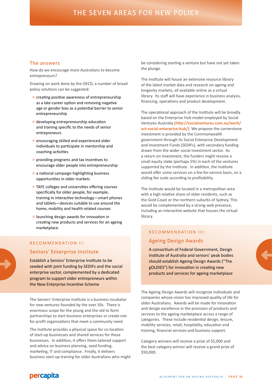#### The answers

How do we encourage more Australians to become entrepreneurs?

Drawing on work done by the OECD, a number of broad policy solutions can be suggested:

- » creating positive awareness of entrepreneurship as a late-career option and removing negative age or gender bias as a potential barrier to senior entrepreneurship
- » developing entrepreneurship education and training specific to the needs of senior entrepreneurs
- » encouraging skilled and experienced older individuals to participate in mentorship and coaching activities
- » providing programs and tax incentives to encourage older people into entrepreneurship
- » a national campaign highlighting business opportunities in older markets
- » TAFE colleges and universities offering courses specifically for older people, for example, training in interactive technology—smart phones and tablets—devices suitable to use around the home, mobility and health related courses
- » launching design awards for innovation in creating new products and services for an ageing marketplace.

# R E COMMENDATION II:

# Seniors' Enterprise Institute

Establish a Seniors' Enterprise Institute to be seeded with joint funding by SEDIFs and the social enterprise sector, complemented by a dedicated program to support older entrepreneurs within the New Enterprise Incentive Scheme

The Seniors' Enterprise Institute is a business incubator for new ventures founded by the over 50s. There is enormous scope for the young and the old to form partnerships to start business enterprises or create notfor-profit organisations that meet a community need.

The Institute provides a physical space for co-location of start-up businesses and shared services for these businesses. In addition, it offers them tailored support and advice on business planning, seed funding, marketing, IT and compliance. Finally, it delivers business start-up training for older Australians who might

be considering starting a venture but have not yet taken the plunge.

The Institute will house an extensive resource library of the latest market data and research on ageing and longevity markets, all available online as a virtual library. Its staff will have experience in business analysis, financing, operations and product development.

The operational approach of the Institute will be broadly based on the Enterprise Hub model employed by Social Ventures Australia **(http://socialventures.com.au/work/ act-social-enterprise-hub/)**. We propose the cornerstone investment is provided by the Commonwealth government through its Social Enterprise Development and Investment Funds (SEDIFs), with secondary funding drawn from the wider social investment sector. As a return on investment, the funders might receive a small equity stake (perhaps 5%) in each of the ventures supported by the Institute. In addition, the Institute would offer some services on a fee-for-service basis, on a sliding fee scale according to profitability.

The Institute would be located in a metropolitan area with a high relative share of older residents, such as the Gold Coast or the northern suburbs of Sydney. This would be complemented by a strong web presence, including an interactive website that houses the virtual library.

# RECOMMENDATION III: Ageing Design Awards

A consortium of Federal Government, Design Institute of Australia and seniors' peak bodies should establish Ageing Design Awards ("The gOLDIES") for innovation in creating new products and services for ageing marketplace

The Ageing Design Awards will recognize individuals and companies whose vision has improved quality of life for older Australians. Awards will be made for innovation and design excellence in the provision of products and services to the ageing marketplace across a range of categories. These include residential design, leisure, mobility services, retail, hospitality, education and training, financial services and business support.

Category winners will receive a prize of \$5,000 and the best category winner will receive a grand prize of \$50,000.

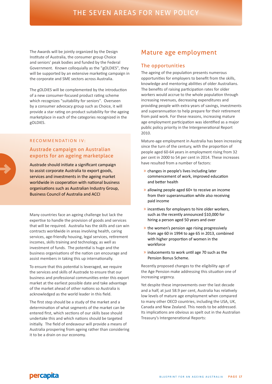The Awards will be jointly organized by the Design Institute of Australia, the consumer group Choice and seniors' peak bodies and funded by the Federal Government. Known colloquially as the "gOLDIES", they will be supported by an extensive marketing campaign in the corporate and SME sectors across Australia.

The gOLDIES will be complemented by the introduction of a new consumer-focused product rating scheme which recognizes "suitability for seniors". Overseen by a consumer advocacy group such as Choice, it will provide a star rating on product suitability for the ageing marketplace in each of the categories recognized in the gOLDIES.

#### RECOMMENDATION IV:

### Austrade campaign on Australian exports for an ageing marketplace

Austrade should initiate a significant campaign to assist corporate Australia to export goods, services and investments in the ageing market worldwide in cooperation with national business organisations such as Australian Industry Group, Business Council of Australia and ACCI

Many countries face an ageing challenge but lack the expertise to handle the provision of goods and services that will be required. Australia has the skills and can win contracts worldwide in areas involving health, caring services, age-friendly housing, legal services, retirement incomes, skills training and technology, as well as investment of funds. The potential is huge and the business organisations of the nation can encourage and assist members in taking this up internationally.

To ensure that this potential is leveraged, we require the services and skills of Austrade to ensure that our business and professional communities enter this export market at the earliest possible date and take advantage of the market ahead of other nations so Australia is acknowledged as the world leader in this field.

The first step should be a study of the market and a determination of what segments of the market can be entered first, which sections of our skills base should undertake this and which nations should be targeted initially. The field of endeavour will provide a means of Australia prospering from ageing rather than considering it to be a drain on our economy.

# Mature age employment

#### The opportunities

The ageing of the population presents numerous opportunities for employers to benefit from the skills, knowledge and mentoring abilities of older Australians. The benefits of raising participation rates for older workers would accrue to the whole population through increasing revenues, decreasing expenditures and providing people with extra years of savings, investments and superannuation to help prepare for their retirement from paid work. For these reasons, increasing mature age employment participation was identified as a major public policy priority in the Intergenerational Report 2010.

Mature-age employment in Australia has been increasing since the turn of the century, with the proportion of people aged 60-64 years in employment rising from 32 per cent in 2000 to 54 per cent in 2014. These increases have resulted from a number of factors:

- » changes in people's lives including later commencement of work, improved education and better health
- » allowing people aged 60+ to receive an income from their superannuation while also receiving paid income
- » incentives for employers to hire older workers, such as the recently announced \$10,000 for hiring a person aged 50 years and over
- » the women's pension age rising progressively from age 60 in 1994 to age 65 in 2013, combined with higher proportion of women in the workforce
- » inducements to work until age 70 such as the Pension Bonus Scheme.

Recently proposed changes to the eligibility age of the Age Pension make addressing this situation one of increasing urgency.

Yet despite these improvements over the last decade and a half, at just 58.9 per cent, Australia has relatively low levels of mature age employment when compared to many other OECD countries, including the USA, UK, Canada and New Zealand. This needs to be addressed. Its implications are obvious as spelt out in the Australian Treasury's Intergenerational Reports: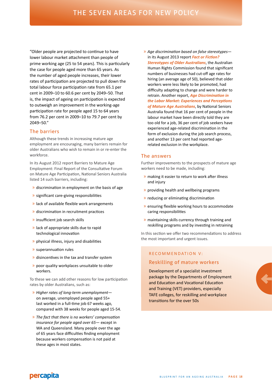"Older people are projected to continue to have lower labour market attachment than people of prime working age (25 to 54 years). This is particularly the case for people aged more than 65 years. As the number of aged people increases, their lower rates of participation are projected to pull down the total labour force participation rate from 65.1 per cent in 2009–10 to 60.6 per cent by 2049–50. That is, the impact of ageing on participation is expected to outweigh an improvement in the working-age participation rate for people aged 15 to 64 years from 76.2 per cent in 2009–10 to 79.7 per cent by 2049–50."

### The barriers

Although these trends in increasing mature age employment are encouraging, many barriers remain for older Australians who wish to remain in or re-enter the workforce.

In its August 2012 report Barriers to Mature Age Employment: Final Report of the Consultative Forum on Mature Age Participation, National Seniors Australia listed 14 such barriers, including:

- » discrimination in employment on the basis of age
- » significant care-giving responsibilities
- » lack of available flexible work arrangements
- » discrimination in recruitment practices
- » insufficient job search skills
- » lack of appropriate skills due to rapid technological innovation
- » physical illness, injury and disabilities
- » superannuation rules
- » disincentives in the tax and transfer system
- » poor quality workplaces unsuitable to older workers.

To these we can add other reasons for low participation rates by older Australians, such as:

- » *Higher rates of long-term unemployment* on average, unemployed people aged 55+ last worked in a full-time job 67 weeks ago, compared with 38 weeks for people aged 15-54.
- » *The fact that there is no workers' compensation insurance for people aged over 65*— except in WA and Queensland. Many people over the age of 65 years face difficulties finding employment because workers compensation is not paid at these ages in most states.

» *Age discrimination based on false stereotypes* in its August 2013 report *Fact or Fiction? Stereotypes of Older Australians*, the Australian Human Rights Commission found that significant numbers of businesses had cut-off age rates for hiring (an average age of 50), believed that older workers were less likely to be promoted, had difficulty adapting to change and were harder to retrain. Another report, *Age Discrimination in the Labor Market: Experiences and Perceptions of Mature Age Australians*, by National Seniors Australia found that 16 per cent of people in the labour market have been directly told they are too old for a job, 36 per cent of job seekers have experienced age-related discrimination in the form of exclusion during the job search process, and another 13 per cent had reported agerelated exclusion in the workplace.

#### The answers

Further improvements to the prospects of mature age workers need to be made, including:

- » making it easier to return to work after illness and injury
- » providing health and wellbeing programs
- » reducing or eliminating discrimination
- » ensuring flexible working hours to accommodate caring responsibilities
- » maintaining skills currency through training and reskilling programs and by investing in retraining

In this section we offer two recommendations to address the most important and urgent issues.

#### RECOMMENDATION V:

#### Reskilling of mature workers

Development of a specialist investment package by the Departments of Employment and Education and Vocational Education and Training (VET) providers, especially TAFE colleges, for reskilling and workplace transitions for the over 50s

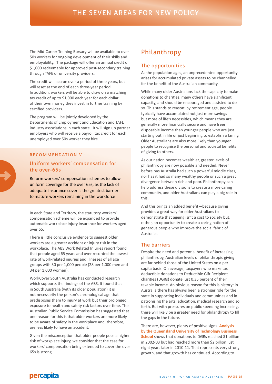The Mid-Career Training Bursary will be available to over 50s workers for ongoing development of their skills and employability. The package will offer an annual credit of \$1,000 redeemable for approved post-secondary training through TAFE or university providers.

The credit will accrue over a period of three years, but will reset at the end of each three-year period. In addition, workers will be able to draw on a matching tax credit of up to \$1,000 each year for each dollar of their own money they invest in further training by certified providers.

The program will be jointly developed by the Departments of Employment and Education and TAFE industry associations in each state. It will sign up partner employers who will receive a payroll tax credit for each unemployed over 50s worker they hire.

#### RECOMMENDATION VI:

### Uniform workers' compensation for the over-65s

Reform workers' compensation schemes to allow uniform coverage for the over 65s, as the lack of adequate insurance cover is the greatest barrier to mature workers remaining in the workforce

In each State and Territory, the statutory workers' compensation scheme will be expanded to provide automatic workplace injury insurance for workers aged over 65.

There is little conclusive evidence to suggest older workers are a greater accident or injury risk in the workplace. The ABS Work Related Injuries report found that people aged 65 years and over recorded the lowest rate of work-related injuries and illnesses of all age groups with 30 per 1,000 people (28 per 1,000 men and 34 per 1,000 women).

WorkCover South Australia has conducted research which supports the findings of the ABS. It found that in South Australia (with its older population) it is not necessarily the person's chronological age that predisposes them to injury at work but their prolonged exposure to health and safety risk factors over time. The Australian Public Service Commission has suggested that one reason for this is that older workers are more likely to be aware of safety in the workplace and, therefore, are less likely to have an accident.

Given the misconception that older people pose a higher risk of workplace injury, we consider that the case for workers' compensation being extended to cover the over 65s is strong.

# Philanthropy

#### The opportunities

As the population ages, an unprecedented opportunity arises for accumulated private assets to be channelled for the benefit of the Australian community.

While many older Australians lack the capacity to make donations to charities, many others have significant capacity, and should be encouraged and assisted to do so. This stands to reason: by retirement age, people typically have accumulated not just more savings but more of life's necessities, which means they are generally more financially secure and have freer disposable income than younger people who are just starting out in life or just beginning to establish a family. Older Australians are also more likely than younger people to recognise the personal and societal benefits of giving to others.

As our nation becomes wealthier, greater levels of philanthropy are now possible and needed. Never before has Australia had such a powerful middle class, nor has it had so many wealthy people or such a great divergence between rich and poor. Philanthropy can help address these divisions to create a more caring community, and older Australians can play a big role in this.

And this brings an added benefit—because giving provides a great way for older Australians to demonstrate that ageing isn't a cost to society but, rather, an opportunity to create a caring nation of generous people who improve the social fabric of Australia.

#### The barriers

Despite the need and potential benefit of increasing philanthropy, Australian levels of philanthropic giving are far behind those of the United States on a per capita basis. On average, taxpayers who make tax deductible donations to Deductible Gift Recipient charities (DGRs) donate just 0.35 percent of their taxable income. An obvious reason for this is history: in Australia there has always been a stronger role for the state in supporting individuals and communities and in patronising the arts, education, medical research and so forth. But with pressures on public spending increasing, there will likely be a greater need for philanthropy to fill the gaps in the future.

There are, however, plenty of positive signs. **Analysis by the Queensland University of Technology Business School** shows that donations to DGRs reached \$1 billion in 2002-03 but had reached more than \$2 billion just eight years later in 2010-11. That represents very strong growth, and that growth has continued. According to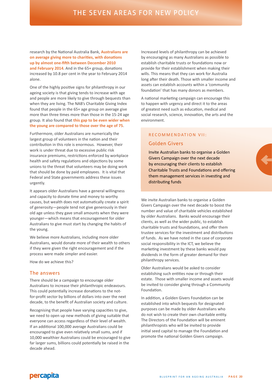research by the National Australia Bank, **Australians are on average giving more to charities, with donations up by almost one-fifth between December 2010 and February 2014**. And in the 65+ group, donations increased by 10.8 per cent in the year to February 2014 alone.

One of the highly positive signs for philanthropy in our ageing society is that giving tends to increase with age and people are more likely to give through bequests than when they are living. The NAB's Charitable Giving Index found that people in the 65+ age group on average give more than three times more than those in the 15-24 age group. It also found that **this gap to be even wider when the young are compared to those over the age of 75**.

Furthermore, older Australians are numerically the largest group of volunteers in the nation and their contribution in this role is enormous. However, their work is under threat due to excessive public risk insurance premiums, restrictions enforced by workplace health and safety regulations and objections by some unions to the threat that volunteers may be doing work that should be done by paid employees. It is vital that Federal and State governments address these issues urgently.

It appears older Australians have a general willingness and capacity to donate time and money to worthy causes, but wealth does not automatically create a spirit of generosity—people tend not give generously in their old age unless they gave small amounts when they were younger—which means that encouragement for older Australians to give must start by changing the habits of the young.

We believe more Australians, including more older Australians, would donate more of their wealth to others if they were given the right encouragement and if the process were made simpler and easier.

How do we achieve this?

#### The answers

There should be a campaign to encourage older Australians to increase their philanthropic endeavours. This could potentially increase donations to the notfor-profit sector by billions of dollars into over the next decade, to the benefit of Australian society and culture.

Recognising that people have varying capacities to give, we need to open up new methods of giving suitable that everyone can access regardless of their level of wealth. If an additional 100,000 average Australians could be encouraged to give even relatively small sums, and if 10,000 wealthier Australians could be encouraged to give far larger sums, billions could potentially be raised in the decade ahead.

Increased levels of philanthropy can be achieved by encouraging as many Australians as possible to establish charitable trusts or foundations now or provide for their establishment when making their wills. This means that they can work for Australia long after their death. Those with smaller income and assets can establish accounts within a 'community foundation' that has many donors as members.

A national marketing campaign can encourage this to happen with urgency and direct it to the areas of greatest need such as education, medical and social research, science, innovation, the arts and the environment.

# R F C O M M F N D AT I O N V II : Golden Givers

Invite Australian banks to organise a Golden Givers Campaign over the next decade by encouraging their clients to establish Charitable Trusts and Foundations and offering them management services in investing and distributing funds

We invite Australian banks to organise a Golden Givers Campaign over the next decade to boost the number and value of charitable vehicles established by older Australians. Banks would encourage their clients, as well as the wider public, to establish charitable trusts and foundations, and offer them trustee services for the investment and distributions of funds. As we have noted in the case of corporate social responsibility in the ICT, we believe the marketing investment by these banks would pay dividends in the form of greater demand for their philanthropy services.

Older Australians would be asked to consider establishing such entities now or through their estate. Those with smaller income and assets would be invited to consider giving through a Community Foundation.

In addition, a Golden Givers Foundation can be established into which bequests for designated purposes can be made by older Australians who do not wish to create their own charitable entity. The Directors of the Foundation will be eminent philanthropists who will be invited to provide initial seed capital to manage the Foundation and promote the national Golden Givers campaign.

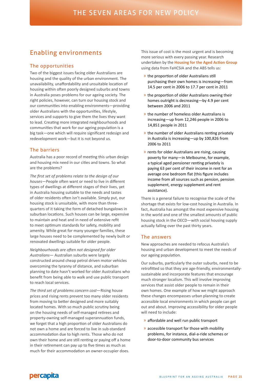# Enabling environments

#### The opportunities

Two of the biggest issues facing older Australians are housing and the quality of the urban environment. The unavailability, unaffordability and unsuitable location of housing within often poorly designed suburbs and towns in Australia poses problems for our ageing society. The right policies, however, can turn our housing stock and our communities into enabling environments—providing older Australians with the opportunities, lifestyle, services and supports to give them the lives they want to lead. Creating more integrated neighbourhoods and communities that work for our ageing population is a big task—one which will require significant redesign and redevelopment work—but it is not beyond us.

#### The barriers

Australia has a poor record of meeting this urban design and housing mix need in our cities and towns. So what are the problems?

*The first set of problems relate to the design of our houses*—People often want or need to live in different types of dwellings at different stages of their lives, yet in Australia housing suitable to the needs and tastes of older residents often isn't available. Simply put, our housing stock is unsuitable, with more than threequarters of it taking the form of detached bungalows in suburban locations. Such houses can be large, expensive to maintain and heat and in need of extensive refit to meet optimum standards for safety, mobility and amenity. While great for many younger families, these large houses need to be complemented by newly built or renovated dwellings suitable for older people.

*Neighbourhoods are often not designed for older Australians*— Australian suburbs were largely constructed around cheap petrol driven motor vehicles overcoming the tyranny of distance, and suburban planning to date hasn't worked for older Australians who benefit from being able to walk and use public transport to reach local services.

*The third set of problems concern cost*—Rising house prices and rising rents prevent too many older residents from moving to better designed and more suitably located homes. With so much public scrutiny being on the housing needs of self-managed retirees and property-owning self-managed superannuation funds, we forget that a high proportion of older Australians do not own a home and are forced to live in sub-standard accommodation due to high rents. Those who do not own their home and are still renting or paying off a home in their retirement can pay up to five times as much as much for their accommodation an owner-occupier does.

This issue of cost is the most urgent and is becoming more serious with every passing year. Research undertaken by the **Housing for the Aged Action Group** using data from FaHCSIA and the ABS tells us:

- » the proportion of older Australians still purchasing their own homes is increasing—from 14.5 per cent in 2006 to 17.7 per cent in 2011
- » the proportion of older Australians owning their homes outright is decreasing—by 4.9 per cent between 2006 and 2011
- » the number of homeless older Australians is increasing—up from 12,246 people in 2006 to 14,851 people in 2011
- » the number of older Australians renting privately in Australia is increasing—up by 100,826 from 2006 to 2011
- » rents for older Australians are rising, causing poverty for many—in Melbourne, for example, a typical aged pensioner renting privately is paying 63 per cent of their income in rent for an average one bedroom flat (this figure includes income from all sources such as pension, pension supplement, energy supplement and rent assistance).

There is a general failure to recognise the scale of the shortage that exists for low-cost housing in Australia. In fact, Australia has amongst the most expensive housing in the world and one of the smallest amounts of public housing stock in the OECD—with social housing supply actually falling over the past thirty years.

#### The answers

New approaches are needed to refocus Australia's housing and urban development to meet the needs of our ageing population.

Our suburbs, particularly the outer suburbs, need to be retrofitted so that they are age-friendly, environmentallysustainable and incorporate features that encourage much stronger localism. This will involve improving services that assist older people to remain in their own homes. One example of how we might approach these changes encompasses urban planning to create accessible local environments in which people can get out and about. Improving accessibility for older people will need to include:

- » affordable and well run public transport
- » accessible transport for those with mobility problems, for instance, dial-a-ride schemes or door-to-door community bus services

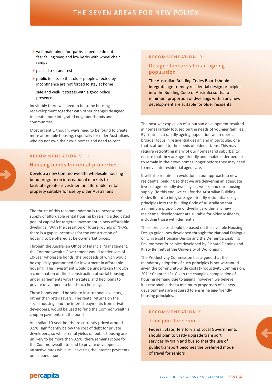- » well-maintained footpaths so people do not fear falling over, and low kerbs with wheel chair ramps
- » places to sit and rest
- » public toilets so that older people affected by incontinence are not forced to stay at home
- » safe and well-lit streets with a good police presence.

Inevitably there will need to be some housing redevelopment together with other changes designed to create more integrated neighbourhoods and communities.

Most urgently, though, ways need to be found to create more affordable housing, especially for older Australians who do not own their own homes and need to rent.

### RECOMMENDATION VIII: Housing bonds for rental properties

# Develop a new Commonwealth wholesale housing

bond program on international markets to facilitate greater investment in affordable rental property suitable for use by older Australians

The thrust of this recommendation is to increase the supply of affordable rental housing by raising a dedicated pool of capital for targeted investment in new affordable dwellings. With the cessation of future rounds of NRAS, there is a gap in incentives for the construction of housing to be offered at below-market prices.

Through the Australian Office of Financial Management, the Commonwealth Government would tender sets of 10-year wholesale bonds, the proceeds of which would be explicitly quarantined for investment in affordable housing. This investment would be undertaken through a combination of direct construction of social housing under agreements with the states, and tied loans to private developers to build such housing.

These bonds would be sold to institutional investors, rather than retail savers. The rental returns on the social housing, and the interest payments from private developers, would be used to fund the Commonwealth's coupon payments on the bonds.

Australian 10-year bonds are currently priced around 3.5%, significantly below the cost of debt for private developers, so while rental yields on public housing are unlikely to be more than 3.5%, there remains scope for the Commonwealth to lend to private developers at attractive rates while still covering the interest payments on its bond issue.

#### RECOMMENDATION IX:

### Design standards for an ageing population

The Australian Building Codes Board should integrate age-friendly residential design principles into the Building Code of Australia so that a minimum proportion of dwellings within any new development are suitable for older residents

The post-war explosion of suburban development resulted in homes largely focused on the needs of younger families. By contrast, a rapidly ageing population will require a broader focus in residential design and in particular, one that is attuned to the needs of older citizens. This may require retrofitting many of our homes (and suburbs) to ensure that they are age-friendly and enable older people to remain in their own homes longer before they may need to move into residential aged care.

It will also require an evolution in our approach to new residential building so that we are delivering an adequate level of age-friendly dwellings as we expand our housing supply. To this end, we call for the Australian Building Codes Board to integrate age-friendly residential design principles into the Building Code of Australia so that a minimum proportion of dwellings within any new residential development are suitable for older residents, including those with dementia.

These principles should be based on the Liveable Housing Design guidelines developed through the National Dialogue on Universal Housing Design and the Dementia Enabling Environment Principles developed by Richard Fleming and Kirsty Bennett at the University of Wollongong.

The Productivity Commission has argued that the mandatory adoption of such principles is not warranted given the community-wide costs (Productivity Commission, 2011: Chapter 12). Given the changing composition of housing demand due to ageing, however, we believe it is reasonable that a minimum proportion of all new developments are required to enshrine age-friendly housing principles.

## RECOMMENDATION X: Transport for seniors

Federal, State, Territory and Local Governments should plan to vastly upgrade transport services by train and bus so that the use of public transport becomes the preferred mode of travel for seniors

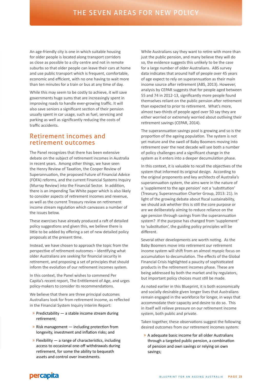An age-friendly city is one in which suitable housing for older people is located along transport corridors as close as possible to a city centre and not in remote suburbs so that older people can leave their cars at home and use public transport which is frequent, comfortable, economic and efficient, with no one having to wait more than ten minutes for a train or bus at any time of day.

While this may seem to be costly to achieve, it will save governments huge sums that are increasingly spent in improving roads to handle ever-growing traffic. It will also save seniors a significant section of their pension usually spent in car usage, such as fuel, servicing and parking as well as significantly reducing the costs of traffic accidents.

### Retirement incomes and retirement outcomes

The Panel recognizes that there has been extensive debate on the subject of retirement incomes in Australia in recent years. Among other things, we have seen the Henry Review of Taxation, the Cooper Review of Superannuation, the proposed Future of Financial Advice (FOFA) reforms, and the current Financial Systems Inquiry (Murray Review) into the Financial Sector. In addition, there is an impending Tax White paper which is also likely to consider aspects of retirement incomes and revenue, as well as the current Treasury review on retirement income stream regulation which canvasses a number of the issues below.

These exercises have already produced a raft of detailed policy suggestions and given this, we believe there is little to be added by offering a set of new detailed policy proposals at the present time.

Instead, we have chosen to approach the topic from the perspective of retirement outcomes – identifying what older Australians are seeking for financial security in retirement, and proposing a set of principles that should inform the evolution of our retirement incomes system.

In this context, the Panel wishes to commend Per Capita's recent report, The Entitlement of Age, and urges policy-makers to consider its recommendations.

We believe that there are three principal outcomes Australians look for from retirement income, as reflected in the Financial System Inquiry Interim Report:

- $\rightarrow$  Predictability  $-$  a stable income stream during retirement;
- » Risk management including protection from longevity, investment and inflation risks; and
- $\rightarrow$  Flexibility a range of characteristics, including access to occasional one-off withdrawals during retirement, for some the ability to bequeath assets and control over investments.

While Australians say they want to retire with more than just the public pension, and many believe they will do so, the evidence suggests this unlikely to be the case for a large number of older Australians. ABS survey data indicates that around half of people over 45 years of age expect to rely on superannuation as their main income source after retirement (ABS, 2013). However, analysis by CEPAR suggests that for people aged between 55 and 74 in 2012-13, significantly more people found themselves reliant on the public pension after retirement than expected to prior to retirement. What's more, almost two-thirds of people aged over 50 say they are either worried or extremely worried about outliving their retirement savings (CEPAR, 2014).

The superannuation savings pool is growing and so is the proportion of the ageing population. The system is not yet mature and the swell of Baby Boomers moving into retirement over the next decade will see both a number of policy challenges and a significant change in the system as it enters into a deeper decumulation phase.

In this context, it is valuable to recall the objectives of the system that informed its original design. According to the original proponents and key architects of Australia's superannuation system, the aims were in the nature of a 'supplement to the age pension' not a 'substitution' (Treasury, Superannuation Charter Group, 2013: 21). In light of the growing debate about fiscal sustainability, we should ask whether this is still the core purpose or are we deliberately aiming to reduce reliance on the age pension through savings from the superannuation system? If the purpose has changed from 'supplement' to 'substitution', the guiding policy principles will be different.

Several other developments are worth noting. As the Baby Boomers move into retirement our retirement income system will shift from an almost myopic focus on accumulation to decumulation. The effects of the Global Financial Crisis highlighted a paucity of sophisticated products in the retirement incomes phase. These are being addressed by both the market and by regulators, but important policy choices must still be made.

As noted earlier in this Blueprint, it is both economically and socially desirable given longer lives that Australians remain engaged in the workforce for longer, in ways that accommodate their capacity and desire to do so. This in itself will relieve pressure on our retirement income system, both public and private.

Taken together, these observations suggest the following desired outcomes from our retirement incomes system:

» A adequate basic income for all older Australians through a targeted public pension, a combination of pension and own savings or relying on own savings;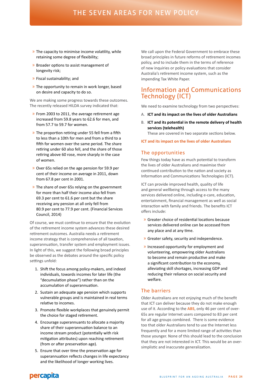- » The capacity to minimise income volatility, while retaining some degree of flexibility;
- » Broader options to assist management of longevity risk;
- » Fiscal sustainability; and
- » The opportunity to remain in work longer, based on desire and capacity to do so.

We are making some progress towards these outcomes. The recently released HILDA survey indicated that:

- » From 2003 to 2011, the average retirement age increased from 59.8 years to 62.6 for men, and from 57.7 to 59.7 for women.
- » The proportion retiring under 55 fell from a fifth to less than a 10th for men and from a third to a fifth for women over the same period. The share retiring under 60 also fell, and the share of those retiring above 60 rose, more sharply in the case of women.
- » Over 65s relied on the age pension for 59.9 per cent of their income on average in 2011, down from 67.8 per cent in 2001.
- » The share of over 65s relying on the government for more than half their income also fell from 69.3 per cent to 61.6 per cent but the share receiving any pension at all only fell from 80.9 per cent to 77.9 per cent. (Financial Services Council, 2014)

Of course, we must continue to ensure that the evolution of the retirement income system advances these desired retirement outcomes. Australia needs a retirement income strategy that is comprehensive of all taxation, superannuation, transfer system and employment issues. In light of this, we suggest the following broad principles be observed as the debates around the specific policy settings unfold:

- 1. Shift the focus among policy-makers, and indeed individuals, towards incomes for later life (the "decumulation phase") rather than on the accumulation of superannuation.
- 2. Sustain an adequate age pension which supports vulnerable groups and is maintained in real terms relative to incomes.
- 3. Promote flexible workplaces that genuinely permit the choice for staged retirement.
- 4. Encourage superannuants to allocate a majority share of their superannuation balance to an income stream product (potentially with risk mitigation attributes) upon reaching retirement (from or after preservation age).
- 5. Ensure that over time the preservation age for superannuation reflects changes in life expectancy and the likelihood of longer working lives.

We call upon the Federal Government to embrace these broad principles in future reforms of retirement incomes policy, and to include them in the terms of reference of new inquiries or policy evaluations that consider Australia's retirement income system, such as the impending Tax White Paper.

# Information and Communications Technology (ICT)

We need to examine technology from two perspectives:

- A. **ICT and its impact on the lives of older Australians**
- B. **ICT and its potential in the remote delivery of health services (telehealth)**

These are covered in two separate sections below.

#### **ICT and its impact on the lives of older Australians**

#### The opportunities

Few things today have as much potential to transform the lives of older Australians and maximise their continued contribution to the nation and society as Information and Communications Technologies (ICT).

ICT can provide improved health, quality of life and general wellbeing through access to the many services delivered online, including e-care, education, entertainment, financial management as well as social interaction with family and friends. The benefits ICT offers include:

- » Greater choice of residential locations because services delivered online can be accessed from any place and at any time.
- » Greater safety, security and independence.
- » Increased opportunity for employment and volunteering, empowering older Australians to become and remain productive and make a significant contribution to the economy, alleviating skill shortages, increasing GDP and reducing their reliance on social security and welfare.

#### The barriers

Older Australians are not enjoying much of the benefit that ICT can deliver because they do not make enough use of it. According to the **ABS**, only 46 per cent of over-65s are regular Internet users compared to 83 per cent for all age groups combined. There is some evidence too that older Australians tend to use the Internet less frequently and for a more limited range of activities than those younger. None of this should lead to the conclusion that they are not interested in ICT. This would be an oversimplistic and inaccurate generalization.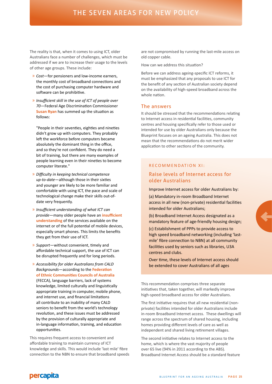The reality is that, when it comes to using ICT, older Australians face a number of challenges, which must be addressed if we are to increase their usage to the levels of other age groups. These include:

- » *Cost*—for pensioners and low-income earners, the monthly cost of broadband connections and the cost of purchasing computer hardware and software can be prohibitive.
- » *Insufficient skill in the use of ICT of people over 70*—Federal Age Discrimination Commissioner **Susan Ryan** has summed up the situation as follows:

"People in their seventies, eighties and nineties didn't grow up with computers. They probably left the workforce before computers became absolutely the dominant thing in the office, and so they're not confident. They do need a bit of training, but there are many examples of people learning even in their nineties to become computer literate."

- » *Difficulty in keeping technical competence up-to-date*—although those in their sixties and younger are likely to be more familiar and comfortable with using ICT, the pace and scale of technological change make their skills out-ofdate very frequently.
- » *Insufficient understanding of what ICT can provide*—many older people have an **insufficient understanding** of the services available on the internet or of the full potential of mobile devices, especially smart phones. This limits the benefits they get from their use of ICT.
- » *Support*—without convenient, timely and affordable technical support, the use of ICT can be disrupted frequently and for long periods.
- » *Accessibility for older Australians from CALD Backgrounds*—according to the **Federation of Ethnic Communities Councils of Australia** (FECCA), language barriers, lack of systems knowledge, limited culturally and linguistically appropriate training in computer, mobile phone, and internet use, and financial limitations all contribute to an inability of many CALD seniors to benefit from the world's technology revolution, and these issues must be addressed by the provision of culturally appropriate and in-language information, training, and education opportunities.

This requires frequent access to convenient and affordable training to maintain currency of ICT knowledge and skills. This would include 'last mile' fibre connection to the NBN to ensure that broadband speeds are not compromised by running the last-mile access on old copper cable.

How can we address this situation?

Before we can address ageing-specific ICT reforms, it must be emphasized that any proposals to use ICT for the benefit of any section of Australian society depend on the availability of high-speed broadband across the whole nation.

#### The answers

It should be stressed that the recommendations relating to Internet access in residential facilities, community centres and housing specifically refer to those used or intended for use by older Australians only because the Blueprint focuses on an ageing Australia. This does not mean that the recommendations do not merit wider application to other sections of the community.

#### RECOMMENDATION XI:

#### Raise levels of Internet access for older Australians

Improve Internet access for older Australians by:

(a) Mandatory in-room Broadband Internet access in all new (non-private) residential facilities intended for older Australians;

(b) Broadband Internet Access designated as a mandatory feature of age-friendly housing design;

(c) Establishment of PPPs to provide access to high speed broadband networking (including 'lastmile' fibre connection to NBN) at all community facilities used by seniors such as libraries, U3A centres and clubs.

Over time, these levels of Internet access should be extended to cover Australians of all ages

This recommendation comprises three separate initiatives that, taken together, will markedly improve high-speed broadband access for older Australians.

The first initiative requires that all new residential (nonprivate) facilities intended for older Australians include in-room Broadband Internet access. These dwellings will range across the spectrum of shared housing, including homes providing different levels of care as well as independent and shared living retirement villages.

The second initiative relates to Internet access to the home, which is where the vast majority of people over 65 live (94% in 2011 according to the ABS). Broadband Internet Access should be a standard feature

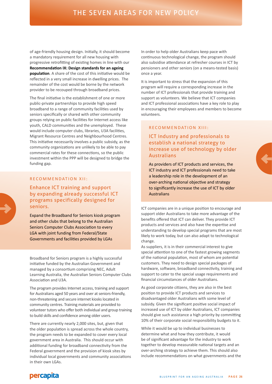of age-friendly housing design. Initially, it should become a mandatory requirement for all new housing with progressive retrofitting of existing homes in line with our **Recommendation IX: Design standards for an ageing population**. A share of the cost of this initiative would be reflected in a very small increase in dwelling prices. The remainder of the cost would be borne by the network provider to be recouped through broadband prices.

The final initiative is the establishment of one or more public-private partnerships to provide high speed broadband to a range of community facilities used by seniors specifically or shared with other community groups relying on public facilities for Internet access like youth, CALD communities and the unemployed. These would include computer clubs, libraries, U3A facilities, Migrant Resource Centres and Neighbourhood Centres. This initiative necessarily involves a public subsidy, as the community organizations are unlikely to be able to pay commercial rates for these connections, so the public investment within the PPP will be designed to bridge the funding gap.

#### RECOMMENDATION XII:

Enhance ICT training and support by expanding already successful ICT programs specifically designed for seniors.

Expand the Broadband for Seniors kiosk program and other clubs that belong to the Australian Seniors Computer Clubs Association to every LGA with joint funding from Federal/State Governments and facilities provided by LGAs

Broadband for Seniors program is a highly successful initiative funded by the Australian Government and managed by a consortium comprising NEC, Adult Learning Australia, the Australian Seniors Computer Clubs Association and U3A.

The program provides Internet access, training and support for Australians aged 50 years and over at seniors-friendly, non-threatening and secure internet kiosks located in community centres. Training materials are provided to volunteer tutors who offer both individual and group training to build skills and confidence among older users.

There are currently nearly 2,000 sites, but, given that the older population is spread across the whole country, the program needs to be expanded to cover every local government area in Australia. This should occur with additional funding for broadband connectivity from the Federal government and the provision of kiosk sites by individual local governments and community associations in their own LGAs.

In order to help older Australians keep pace with continuous technological change, the program should also subsidise attendance at refresher courses in ICT by pensioners and other seniors (on a means-tested basis) once a year.

It is important to stress that the expansion of this program will require a corresponding increase in the number of ICT professionals that provide training and support as volunteers. We believe that ICT companies and ICT professional associations have a key role to play in encouraging their employees and members to become volunteers.

### RECOMMENDATION XIII:

### ICT industry and professionals to establish a national strategy to increase use of technology by older Australians

As providers of ICT products and services, the ICT industry and ICT professionals need to take a leadership role in the development of an over-arching national objective and strategy to significantly increase the use of ICT by older Australians

ICT companies are in a unique position to encourage and support older Australians to take more advantage of the benefits offered that ICT can deliver. They provide ICT products and services and also have the expertise and understanding to develop special programs that are most likely to work today, but can also adapt to technological change.

As suppliers, it is in their commercial interest to give special attention to one of the fastest growing segments of the national population, most of whom are potential customers. They need to design special packages of hardware, software, broadband connectivity, training and support to cater to the special usage requirements and financial circumstances of older Australians.

As good corporate citizens, they are also in the best position to provide ICT products and services to disadvantaged older Australians with some level of subsidy. Given the significant positive social impact of increased use of ICT by older Australians, ICT companies should give such assistance a high priority by committing 10% of their corporate social responsibility budgets to it.

While it would be up to individual businesses to determine what and how they contribute, it would be of significant advantage for the industry to work together to develop measurable national targets and an over-arching strategy to achieve them. This should also include recommendations on what governments and the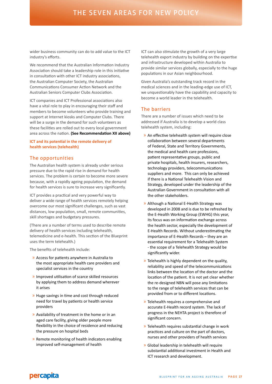wider business community can do to add value to the ICT industry's efforts.

We recommend that the Australian Information Industry Association should take a leadership role in this initiative in consultation with other ICT industry associations, the Australian Computer Society, the Australian Communications Consumer Action Network and the Australian Seniors Computer Clubs Association.

ICT companies and ICT Professional associations also have a vital role to play in encouraging their staff and members to become volunteers who provide training and support at Internet kiosks and Computer Clubs. There will be a surge in the demand for such volunteers as these facilities are rolled out to every local government area across the nation. **(See Recommendation XII above)**

#### **ICT and its potential in the remote delivery of health services (telehealth)**

#### The opportunities

The Australian health system is already under serious pressure due to the rapid rise in demand for health services. The problem is certain to become more severe because, with a rapidly ageing population, the demand for health services is sure to increase very significantly.

ICT provides a practical and very powerful way to deliver a wide range of health services remotely helping overcome our most significant challenges, such as vast distances, low population, small, remote communities, skill shortages and budgetary pressures.

(There are a number of terms used to describe remote delivery of health services including telehealth, telemedicine and e-health. This section of the Blueprint uses the term telehealth.)

The benefits of telehealth include:

- » Access for patients anywhere in Australia to the most appropriate health care providers and specialist services in the country
- » Improved utilisation of scarce skilled resources by applying them to address demand wherever it arises
- » Huge savings in time and cost through reduced need for travel by patients or health service providers
- » Availability of treatment in the home or in an aged care facility, giving older people more flexibility in the choice of residence and reducing the pressure on hospital beds
- » Remote monitoring of health indicators enabling improved self-management of health

ICT can also stimulate the growth of a very large telehealth export industry by building on the expertise and infrastructure developed within Australia to provide similar services globally, especially to the huge populations in our Asian neighbourhood.

Given Australia's outstanding track record in the medical sciences and in the leading-edge use of ICT, we unquestionably have the capability and capacity to become a world leader in the telehealth.

#### The barriers

There are a number of issues which need to be addressed if Australia is to develop a world class telehealth system, including:

- » An effective telehealth system will require close collaboration between several departments of Federal, State and Territory Governments, the medical and health care professions, patient representative groups, public and private hospitals, health insurers, researchers, technology providers, telecommunications suppliers and more. This can only be achieved if there is a National Telehealth Vision and Strategy, developed under the leadership of the Australian Government in consultation with all the other stakeholders.
- » Although a National E-Health Strategy was developed in 2008 and is due to be refreshed by the E-Health Working Group (EWHG) this year, its focus was on information exchange across the health sector, especially the development of E-Health Records. Without underestimating the importance of E-Health Records – they are an essential requirement for a Telehealth System - the scope of a Telehealth Strategy would be significantly wider.
- » Telehealth is highly dependent on the quality, reliability and speed of the telecommunications links between the location of the doctor and the location of the patient. It is not yet clear whether the re-designed NBN will pose any limitations to the range of telehealth services that can be provided from or to different locations.
- » Telehealth requires a comprehensive and accurate E-Health record system. The lack of progress in the NEHTA project is therefore of significant concern.
- » Telehealth requires substantial change in work practices and culture on the part of doctors, nurses and other providers of health services
- » Global leadership in telehealth will require substantial additional investment in Health and ICT research and development.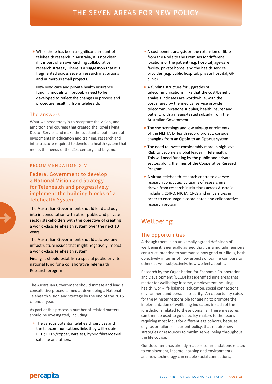- » While there has been a significant amount of telehealth research in Australia, it is not clear if it is part of an over-arching collaborative research strategy. There is a suggestion that it is fragmented across several research institutions and numerous small projects.
- » New Medicare and private health insurance funding models will probably need to be developed to reflect the changes in process and procedure resulting from telehealth.

#### The answers

What we need today is to recapture the vision, and ambition and courage that created the Royal Flying Doctor Service and make the substantial but essential investments in education and training, research and infrastructure required to develop a health system that meets the needs of the 21st century and beyond.

#### RECOMMENDATION XIV:

Federal Government to develop a National Vision and Strategy for Telehealth and progressively implement the building blocks of a Telehealth System.

The Australian Government should lead a study into in consultation with other public and private sector stakeholders with the objective of creating a world-class telehealth system over the next 10 years

The Australian Government should address any infrastructure issues that might negatively impact a world-class telehealth system

Finally, it should establish a special public-private national fund for a collaborative Telehealth Research program

The Australian Government should initiate and lead a consultative process aimed at developing a National Telehealth Vision and Strategy by the end of the 2015 calendar year.

As part of this process a number of related matters should be investigated, including:

» The various potential telehealth services and the telecommunications links they will require - FTTP, FTTN/copper, wireless, hybrid fibre/coaxial, satellite and others.

- » A cost-benefit analysis on the extension of fibre from the Node to the Premises for different locations of the patient (e.g. hospital, age-care facility, private home) and the health service provider (e.g. public hospital, private hospital, GP clinic).
- » A funding structure for upgrades of telecommunications links that the cost/benefit analysis indicates are worthwhile, with the cost shared by the medical service provider, telecommunications supplier, health insurer and patient, with a means-tested subsidy from the Australian Government.
- » The shortcomings and low take-up enrolments of the NEHTA E-Health record project: consider changing from an Opt-in to an Opt-out system.
- » The need to invest considerably more in high level R&D to become a global leader in Telehealth. This will need funding by the public and private sectors along the lines of the Cooperative Research Program.
- » A virtual telehealth research centre to oversee research conducted by teams of researchers drawn from research institutions across Australia including CSIRO, NICTA, CRCs and universities in order to encourage a coordinated and collaborative research program.

# Wellbeing

#### The opportunities

Although there is no universally agreed definition of wellbeing it is generally agreed that it is a multidimensional construct intended to summarise how good our life is, both objectively in terms of how aspects of our life compare to others as well subjectively, how we feel about it.

Research by the Organisation for Economic Co-operation and Development (OECD) has identified nine areas that matter for wellbeing: income, employment, housing, health, work-life balance, education, social connections, environment and personal security. An opportunity exists for the Minister responsible for ageing to promote the implementation of wellbeing indicators in each of the jurisdictions related to these domains. These measures can then be used to guide policy-makers to the issues requiring most focus for different age cohorts, because of gaps or failures in current policy, that require new strategies or resources to maximise wellbeing throughout the life course.

Our document has already made recommendations related to employment, income, housing and environments and how technology can enable social connections,

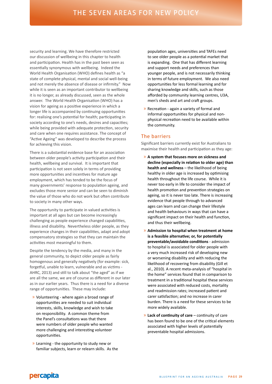security and learning. We have therefore restricted our discussion of wellbeing in this chapter to health and participation. Health has in the past been seen as essentially synonymous with wellbeing. Indeed the World Health Organisation (WHO) defines health as "a state of complete physical, mental and social well-being and not merely the absence of disease or infirmity." Now while it is seen as an important contributor to wellbeing it is no longer, as already discussed, seen as the whole answer. The World Health Organisation (WHO) has a vision for ageing as a positive experience in which a longer life is accompanied by continuing opportunities for: realising one's potential for health; participating in society according to one's needs, desires and capacities; while being provided with adequate protection, security and care when one requires assistance. The concept of "Active Ageing" was developed to describe the process for achieving this vision.

There is a substantial evidence base for an association between older people's activity participation and their health, wellbeing and survival. It is important that participation is not seen solely in terms of providing more opportunities and incentives for mature age employment, which has tended to be the focus of many governments' response to population ageing, and excludes those more senior and can be seen to diminish the value of those who do not work but often contribute to society in many other ways.

The opportunity to participate in valued activities is important at all ages but can become increasingly challenging as people experience changed capabilities, illness and disability. Nevertheless older people, as they experience changes in their capabilities, adapt and adopt compensatory strategies so that they can maintain the activities most meaningful to them.

Despite the tendency by the media, and many in the general community, to depict older people as fairly homogenous and generally negatively (for example: sick, forgetful, unable to learn, vulnerable and as victims - AHRC, 2013) and still to talk about "the aged" as if we are all the same, we are of course as different in our later as in our earlier years. Thus there is a need for a diverse range of opportunities. These may include:

- » Volunteering where again a broad range of opportunities are needed to suit individual interests, skills, knowledge and wish to take on responsibility. A common theme from the Panel's consultations was that there were numbers of older people who wanted more challenging and interesting volunteer opportunities.
- » Learning the opportunity to study new or familiar subjects, learn or relearn skills. As the

population ages, universities and TAFEs need to see older people as a potential market that is expanding. One that has different learning and support needs and preferences than younger people, and is not necessarily thinking in terms of future employment. We also need opportunities for less formal learning and for sharing knowledge and skills, such as those afforded by community learning centres, U3A, men's sheds and art and craft groups.

» Recreation - again a variety of formal and informal opportunities for physical and nonphysical recreation need to be available within the community.

#### The barriers

Significant barriers currently exist for Australians to maximise their health and participation as they age:

- » **A system that focuses more on sickness and decline (especially in relation to older age) than health and wellness** – the likelihood of being healthy in older age is increased by optimising health throughout the life course. While it is never too early in life to consider the impact of health promotion and prevention strategies on ageing, so it is never too late. There is increasing evidence that people through to advanced ages can learn and can change their lifestyle and health behaviours in ways that can have a significant impact on their health and function, and thus their wellbeing.
- » **Admission to hospital when treatment at home is a feasible alternative; or, for potentially preventable/avoidable conditions** - admission to hospital is associated for older people with a very much increased risk of developing new or worsening disability and with reducing the likelihood of recovering from disability (Gill et al., 2010). A recent meta-analysis of "hospital in the home" services found that in comparison to treatment in a traditional hospital these services were associated with reduced costs, mortality and readmission rates; increased patient and carer satisfaction; and no increase in carer burden. There is a need for these services to be more widely available.
- » **Lack of continuity of care** continuity of care has been found to be one of the critical elements associated with higher levels of potentially preventable hospital admissions.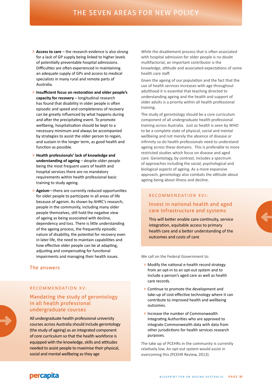- » **Access to care**  the research evidence is also strong for a lack of GP supply being linked to higher levels of potentially preventable hospital admissions. Difficulties are often experienced in maintaining an adequate supply of GPs and access to medical specialists in many rural and remote parts of Australia.
- » **Insufficient focus on restoration and older people's capacity for recovery** – longitudinal research has found that disability in older people is often episodic and speed and completeness of recovery can be greatly influenced by what happens during and after the precipitating event. To promote wellbeing, hospitalisation should be kept to a necessary minimum and always be accompanied by strategies to assist the older person to regain, and sustain in the longer term, as good health and function as possible.
- » **Health professionals' lack of knowledge and understanding of ageing** – despite older people being the most frequent users of health and hospital services there are no mandatory requirements within health professional basic training to study ageing.
- » **Ageism**—there are currently reduced opportunities for older people to participate in all areas of life because of ageism. As shown by AHRC's research, people in the community, including many older people themselves, still hold the negative view of ageing as being associated with decline, dependency and loss. There is little understanding of the ageing process, the frequently episodic nature of disability, the potential for recovery even in later life, the need to maintain capabilities and how effective older people can be at adapting, adjusting and compensating for functional impairments and managing their health issues.

#### The answers

#### RECOMMENDATION XV:

### Mandating the study of gerontology in all health professional undergraduate courses

All undergraduate health professional university courses across Australia should include gerontology (the study of ageing) as an integrated component of core curriculum so that the health workforce is equipped with the knowledge, skills and attitudes needed to assist people to maximise their physical, social and mental wellbeing as they age

While the disablement process that is often associated with hospital admission for older people is no doubt multifactorial, an important contributor is the knowledge, attitude and associated expectations of some health care staff.

Given the ageing of our population and the fact that the use of health services increases with age throughout adulthood it is essential that teaching directed to understanding ageing and the health and support of older adults is a priority within all health professional training.

The study of gerontology should be a core curriculum component of all undergraduate health professional training across Australia. Just as health is seen by WHO to be a complete state of physical, social and mental wellbeing and not merely the absence of disease or infirmity so do health professionals need to understand ageing across these domains. This is preferable to more restricted studies which focus on disease and aged care. Gerontology, by contrast, includes a spectrum of approaches including the social, psychological and biological aspects of ageing. As a more expansive approach, gerontology also combats the attitude about ageing being about illness and decline.

## RECOMMENDATION XVI: Invest in national health and aged

# care infrastructure and systems

This will better enable care continuity, service integration, equitable access to primary health care and a better understanding of the outcomes and costs of care

We call on the Federal Government to:

- » Modify the national e-health record strategy from an opt-in to an opt-out system and to include a person's aged care as well as health care records.
- » Continue to promote the development and take-up of cost-effective technology where it can contribute to improved health and wellbeing outcomes.
- » Increase the number of Commonwealth Integrating Authorities who are approved to integrate Commonwealth data with data from other jurisdictions for health services research purposes.

The take up of PCEHRs in the community is currently relatively low. An opt-out system would assist in overcoming this (PCEHR Review, 2013).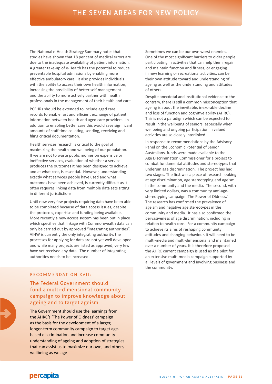The National e-Health Strategy Summary notes that studies have shown that 18 per cent of medical errors are due to the inadequate availability of patient information. A greater take-up of e-Health has the potential to reduce preventable hospital admissions by enabling more effective ambulatory care. It also provides individuals with the ability to access their own health information, increasing the possibility of better self-management and the ability to more actively partner with health professionals in the management of their health and care.

PCEHRs should be extended to include aged care records to enable fast and efficient exchange of patient information between health and aged care providers. In addition to enabling better care this would save significant amounts of staff time collating, sending, receiving and filing critical documentation.

Health services research is critical to the goal of maximizing the health and wellbeing of our population. If we are not to waste public monies on expensive or ineffective services, evaluation of whether a service produces the outcomes it has been designed to achieve, and at what cost, is essential. However, understanding exactly what services people have used and what outcomes have been achieved, is currently difficult as it often requires linking data from multiple data sets sitting in different jurisdictions.

Until now very few projects requiring data have been able to be completed because of data access issues, despite the protocols, expertise and funding being available. More recently a new access system has been put in place which specifies that linkage with Commonwealth data can only be carried out by approved "integrating authorities". AIHW is currently the only integrating authority, the processes for applying for data are not yet well developed and while many projects are listed as approved, very few have yet received any data. The number of integrating authorities needs to be increased.

#### R F C O M M E N D AT I O N X V I I ·

### The Federal Government should fund a multi-dimensional community campaign to improve knowledge about ageing and to target ageism

The Government should use the learnings from the AHRC's 'The Power of Oldness' campaign as the basis for the development of a larger, longer-term community campaign to target agebased discrimination and increase community understanding of ageing and adoption of strategies that can assist us to maximize our own, and others, wellbeing as we age

Sometimes we can be our own worst enemies. One of the most significant barriers to older people participating in activities that can help them regain and maintain function and fitness, or engaging in new learning or recreational activities, can be their own attitude toward and understanding of ageing as well as the understanding and attitudes of others.

Despite anecdotal and institutional evidence to the contrary, there is still a common misconception that ageing is about the inevitable, inexorable decline and loss of function and cognitive ability (AHRC). This is not a paradigm which can be expected to result in the wellbeing of seniors, especially when wellbeing and ongoing participation in valued activities are so closely interlinked.

In response to recommendations by the Advisory Panel on the Economic Potential of Senior Australians, funds were made available to the Age Discrimination Commissioner for a project to combat fundamental attitudes and stereotypes that underpin age discrimination. The project has had two stages. The first was a piece of research looking at age discrimination, age stereotyping and ageism in the community and the media. The second, with very limited dollars, was a community anti-agestereotyping campaign 'The Power of Oldness.' The research has confirmed the prevalence of ageism and negative age stereotypes in the community and media. It has also confirmed the pervasiveness of age discrimination, including in relation to health care. For a community campaign to achieve its aims of reshaping community attitudes and changing behaviour, it will need to be multi-media and multi-dimensional and maintained over a number of years. It is therefore proposed the AHRC current campaign is used as the pilot for an extensive multi-media campaign supported by all levels of government and involving business and the community.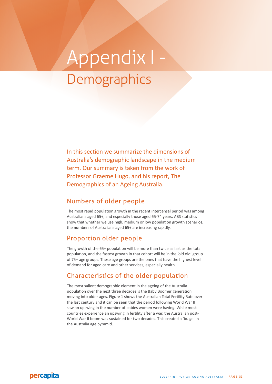# Appendix I - **Demographics**

In this section we summarize the dimensions of Australia's demographic landscape in the medium term. Our summary is taken from the work of Professor Graeme Hugo, and his report, The Demographics of an Ageing Australia.

## Numbers of older people

The most rapid population growth in the recent intercensal period was among Australians aged 65+, and especially those aged 65-74 years. ABS statistics show that whether we use high, medium or low population growth scenarios, the numbers of Australians aged 65+ are increasing rapidly.

### Proportion older people

The growth of the 65+ population will be more than twice as fast as the total population, and the fastest growth in that cohort will be in the 'old old' group of 75+ age groups. These age groups are the ones that have the highest level of demand for aged care and other services, especially health.

# Characteristics of the older population

The most salient demographic element in the ageing of the Australia population over the next three decades is the Baby Boomer generation moving into older ages. Figure 1 shows the Australian Total Fertility Rate over the last century and it can be seen that the period following World War II saw an upswing in the number of babies women were having. While most countries experience an upswing in fertility after a war, the Australian post-World War II boom was sustained for two decades. This created a 'bulge' in the Australia age pyramid.

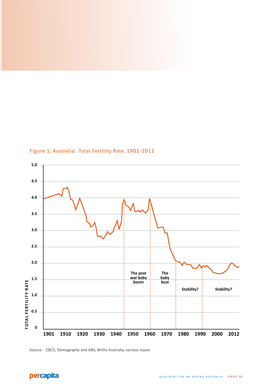

Figure 1: Australia: Total Fertility Rate, 1901-2012



Source: CBCS, Demography and ABS, Births Australia, various issues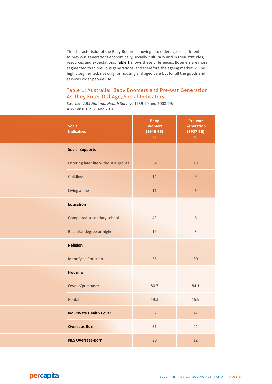The characteristics of the Baby Boomers moving into older age are different to previous generations economically, socially, culturally and in their attitudes, resources and expectations. **Table 1** shows these differences. Boomers are more segmented than previous generations, and therefore the ageing market will be highly segmented, not only for housing and aged care but for all the goods and services older people use.

### Table 1: Australia: Baby Boomers and Pre-war Generation As They Enter Old Age, Social Indicators

Source: *ABS National Health Surveys* 1989-90 and 2008-09; ABS Census 1981 and 2006

|  | <b>Social</b><br><b>Indicators</b>   | <b>Baby</b><br><b>Boomers</b><br>$(1946-65)$<br>$\%$ | Pre-war<br><b>Generation</b><br>$(1927 - 36)$<br>$\%$ |
|--|--------------------------------------|------------------------------------------------------|-------------------------------------------------------|
|  | <b>Social Supports</b>               |                                                      |                                                       |
|  | Entering later life without a spouse | 34                                                   | 19                                                    |
|  | <b>Childless</b>                     | 14                                                   | $\overline{9}$                                        |
|  | Living alone                         | 11                                                   | $\sqrt{6}$                                            |
|  | <b>Education</b>                     |                                                      |                                                       |
|  | Completed secondary school           | 43                                                   | $6\,$                                                 |
|  | Bachelor degree or higher            | 19                                                   | $\overline{3}$                                        |
|  | <b>Religion</b>                      |                                                      |                                                       |
|  | Identify as Christian                | 66                                                   | 80                                                    |
|  | <b>Housing</b>                       |                                                      |                                                       |
|  | Owner/purchaser                      | 80.7                                                 | 84.1                                                  |
|  | Rental                               | 19.3                                                 | 15.9                                                  |
|  | <b>No Private Health Cover</b>       | 37                                                   | 42                                                    |
|  | <b>Overseas-Born</b>                 | 31                                                   | 21                                                    |
|  | <b>NES Overseas-Born</b>             | 20                                                   | 12                                                    |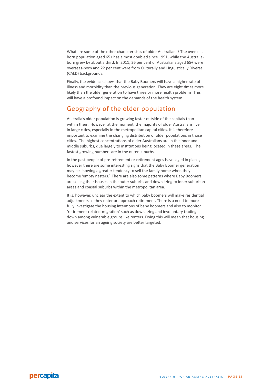What are some of the other characteristics of older Australians? The overseasborn population aged 65+ has almost doubled since 1991, while the Australiaborn grew by about a third. In 2011, 36 per cent of Australians aged 65+ were overseas-born and 22 per cent were from Culturally and Linguistically Diverse (CALD) backgrounds.

Finally, the evidence shows that the Baby Boomers will have a higher rate of illness and morbidity than the previous generation. They are eight times more likely than the older generation to have three or more health problems. This will have a profound impact on the demands of the health system.

# Geography of the older population

Australia's older population is growing faster outside of the capitals than within them. However at the moment, the majority of older Australians live in large cities, especially in the metropolitan capital cities. It is therefore important to examine the changing distribution of older populations in those cities. The highest concentrations of older Australians are in the inner and middle suburbs, due largely to institutions being located in these areas. The fastest growing numbers are in the outer suburbs.

In the past people of pre-retirement or retirement ages have 'aged in place', however there are some interesting signs that the Baby Boomer generation may be showing a greater tendency to sell the family home when they become 'empty nesters.' There are also some patterns where Baby Boomers are selling their houses in the outer suburbs and downsizing to inner suburban areas and coastal suburbs within the metropolitan area.

It is, however, unclear the extent to which baby boomers will make residential adjustments as they enter or approach retirement. There is a need to more fully investigate the housing intentions of baby boomers and also to monitor 'retirement-related-migration' such as downsizing and involuntary trading down among vulnerable groups like renters. Doing this will mean that housing and services for an ageing society are better targeted.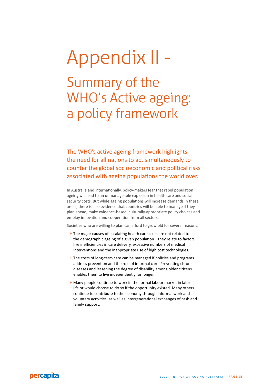# Appendix II - Summary of the WHO's Active ageing: a policy framework

The WHO's active ageing framework highlights the need for all nations to act simultaneously to counter the global socioeconomic and political risks associated with ageing populations the world over.

In Australia and internationally, policy-makers fear that rapid population ageing will lead to an unmanageable explosion in health care and social security costs. But while ageing populations will increase demands in these areas, there is also evidence that countries will be able to manage if they plan ahead, make evidence-based, culturally-appropriate policy choices and employ innovation and cooperation from all sectors.

Societies who are willing to plan can afford to grow old for several reasons:

- » The major causes of escalating health care costs are not related to the demographic ageing of a given population—they relate to factors like inefficiencies in care delivery, excessive numbers of medical interventions and the inappropriate use of high cost technologies.
- » The costs of long-term care can be managed if policies and programs address prevention and the role of informal care. Preventing chronic diseases and lessening the degree of disability among older citizens enables them to live independently for longer.
- » Many people continue to work in the formal labour market in later life or would choose to do so if the opportunity existed. Many others continue to contribute to the economy through informal work and voluntary activities, as well as intergenerational exchanges of cash and family support.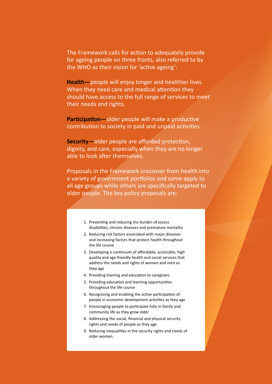The Framework calls for action to adequately provide for ageing people on three fronts, also referred to by the WHO as their vision for 'active ageing':

**Health—**people will enjoy longer and healthier lives. When they need care and medical attention they should have access to the full range of services to meet their needs and rights.

**Participation—**older people will make a productive contribution to society in paid and unpaid activities.

**Security—**older people are afforded protection, dignity, and care, especially when they are no longer able to look after themselves.

Proposals in the Framework crossover from health into a variety of government portfolios and some apply to all age groups while others are specifically targeted to older people. The key policy proposals are:

- 1. Preventing and reducing the burden of excess disabilities, chronic diseases and premature mortality
- 2. Reducing risk factors associated with major diseases and increasing factors that protect health throughout the life course
- 3. Developing a continuum of affordable, accessible, high quality and age-friendly health and social services that address the needs and rights of women and men as they age
- 4. Providing training and education to caregivers
- 5. Providing education and learning opportunities throughout the life course
- 6. Recognising and enabling the active participation of people in economic development activities as they age
- 7. Encouraging people to participate fully in family and community life as they grow older
- 8. Addressing the social, financial and physical security rights and needs of people as they age
- 9. Reducing inequalities in the security rights and needs of older women.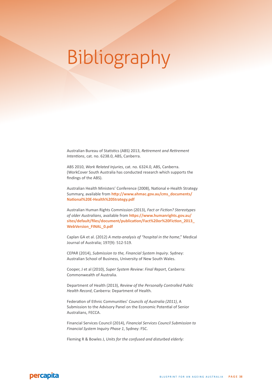# Bibliography

Australian Bureau of Statistics (ABS) 2013, *Retirement and Retirement Intentions*, cat. no. 6238.0, ABS, Canberra.

ABS 2010, *Work Related Injuries*, cat. no. 6324.0, ABS, Canberra. (WorkCover South Australia has conducted research which supports the findings of the ABS).

Australian Health Ministers' Conference (2008), National e-Health Strategy Summary, available from **http://www.ahmac.gov.au/cms\_documents/ National%20E-Health%20Strategy.pdf**

Australian Human Rights Commission (2013), *Fact or Fiction? Stereotypes of older Australians*, available from **https://www.humanrights.gov.au/ sites/default/files/document/publication/Fact%20or%20Fiction\_2013\_ WebVersion\_FINAL\_0.pdf**

Caplan GA et al. (2012) *A meta-analysis of "hospital in the home*," Medical Journal of Australia; 197(9): 512-519.

CEPAR (2014), *Submission to the, Financial System Inquiry*. Sydney: Australian School of Business, University of New South Wales.

Cooper, J et al (2010), *Super System Review: Final Report*, Canberra: Commonwealth of Australia.

Department of Health (2013), *Review of the Personally Controlled Public Health Record*, Canberra: Department of Health.

Federation of Ethnic Communities' *Councils of Australia (2011)*, A Submission to the Advisory Panel on the Economic Potential of Senior Australians, FECCA.

Financial Services Council (2014), *Financial Services Council Submission to Financial System Inquiry Phase 1*, Sydney: FSC.

Fleming R & Bowles J, *Units for the confused and disturbed elderly:* 

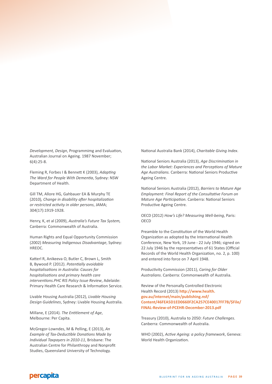*Development, Design*, Programmimg and Evaluation, Australian Journal on Ageing. 1987 November; 6(4):25-8.

Fleming R, Forbes I & Bennett K (2003), *Adapting The Ward for People With Dementia*, Sydney: NSW Department of Health.

Gill TM, Allore HG, Gahbauer EA & Murphy TE (2010)*, Change in disability after hospitalization or restricted activity in older persons*, JAMA; 304(17):1919-1928.

Henry, K, et al (2009), *Australia's Future Tax System,*  Canberra: Commonwealth of Australia.

Human Rights and Equal Opportunity Commission (2002) *Measuring Indigenous Disadvantage*, Sydney: HREOC.

Katterl R, Anikeeva O, Butler C, Brown L, Smith B, Bywood P. (2012). *Potentially avoidable hospitalisations in Australia: Causes for hospitalisations and primary health care interventions.PHC RIS Policy Issue Review*, Adelaide: Primary Health Care Research & Information Service.

Livable Housing Australia (2012), *Livable Housing Design Guidelines*, Sydney: Livable Housing Australia.

Millane, E (2014). *The Entitlement of Age*, Melbourne: Per Capita.

McGregor-Lowndes, M & Pelling, E (2013), *An Example of Tax-Deductible Donations Made by Individual Taxpayers in 2010-11*, Brisbane: The Australian Centre for Philanthropy and Nonprofit Studies, Queensland University of Technology.

National Australia Bank (2014), *Charitable Giving Index*.

National Seniors Australia (2013), *Age Discrimination in the Labor Market: Experiences and Perceptions of Mature Age Australians.* Canberra: National Seniors Productive Ageing Centre.

National Seniors Australia (2012), *Barriers to Mature Age Employment: Final Report of the Consultative Forum on Mature Age Participation.* Canberra: National Seniors Productive Ageing Centre.

OECD (2012) *How's Life? Measuring Well-being*, Paris: OECD

Preamble to the Constitution of the World Health Organization as adopted by the International Health Conference, New York, 19 June - 22 July 1946; signed on 22 July 1946 by the representatives of 61 States (Official Records of the World Health Organization, no. 2, p. 100) and entered into force on 7 April 1948.

Productivity Commission (2011), *Caring for Older Australians*. Canberra: Commonwealth of Australia.

Review of the Personally Controlled Electronic Health Record (2013) **http://www.health. gov.au/internet/main/publishing.nsf/ Content/46FEA5D1ED0660F2CA257CE40017FF7B/\$File/ FINAL-Review-of-PCEHR-December-2013.pdf**

Treasury (2010), Australia to 2050: *Future Challenges*. Canberra: Commonwealth of Australia.

WHO (2002), *Active Ageing: a policy framework*, Geneva: World Health Organization.